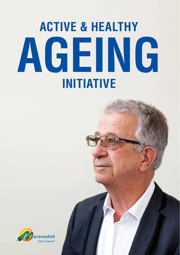# **ACTIVE & HEALTHY AGEING INITIATIVE**

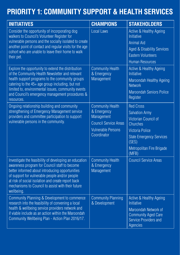#### **PRIORITY 1: COMMUNITY SUPPORT & HEALTH SERVICES**

| <b>INITIATIVES</b>                                                                                                                                                                                                                                                                                                                    | <b>CHAMPIONS</b>                                                                                                                 | <b>STAKEHOLDERS</b>                                                                                                                                                                              |
|---------------------------------------------------------------------------------------------------------------------------------------------------------------------------------------------------------------------------------------------------------------------------------------------------------------------------------------|----------------------------------------------------------------------------------------------------------------------------------|--------------------------------------------------------------------------------------------------------------------------------------------------------------------------------------------------|
| Consider the opportunity of incorporating dog<br>walkers to Council's Volunteer Register for<br>vulnerable persons and the socially isolated to create<br>another point of contact and regular visits for the age<br>cohort who are unable to leave their home to walk<br>their pet.                                                  | <b>Local Laws</b>                                                                                                                | Active & Healthy Ageing<br>Initiative<br><b>Animal Aid</b><br><b>Aged &amp; Disability Services</b><br><b>Eastern Volunteers</b><br><b>Human Resources</b>                                       |
| Explore the opportunity to extend the distribution<br>of the Community Health Newsletter and relevant<br>health support programs to the community groups<br>catering to the 45+ age group including, but not<br>limited to, environmental issues, community events<br>and Council's emergency management procedures &<br>resources.   | <b>Community Health</b><br>& Emergency<br>Management                                                                             | Active & Healthy Ageing<br>Initiative<br>Maroondah Healthy Ageing<br><b>Network</b><br>Maroondah Seniors Police<br>Register                                                                      |
| Ongoing relationship building and community<br>strengthening of Emergency Management service<br>providers and committee participation to support<br>vulnerable persons in the community.                                                                                                                                              | <b>Community Health</b><br>& Emergency<br>Management<br><b>Council Service Areas</b><br><b>Vulnerable Persons</b><br>Coordinator | <b>Red Cross</b><br><b>Salvation Army</b><br>Victorian Council of<br><b>Churches</b><br><b>Victoria Police</b><br><b>State Emergency Services</b><br>(SES)<br>Metropolitan Fire Brigade<br>(MFB) |
| Investigate the feasibility of developing an education<br>awareness program for Council staff to become<br>better informed about introducing opportunities<br>of support for vulnerable people and/or people<br>at risk of social isolation and create report back<br>mechanisms to Council to assist with their future<br>wellbeing. | <b>Community Health</b><br>& Emergency<br>Management                                                                             | <b>Council Service Areas</b>                                                                                                                                                                     |
| Community Planning & Development to commence<br>research into the feasibility of convening a local<br>health & wellbeing service providers network and<br>if viable include as an action within the Maroondah<br>Community Wellbeing Plan - Action Plan 2016/17.                                                                      | <b>Community Planning</b><br>& Development                                                                                       | Active & Healthy Ageing<br>Initiative<br>Maroondah Network of<br><b>Community Aged Care</b><br><b>Service Providers and</b><br><b>Agencies</b>                                                   |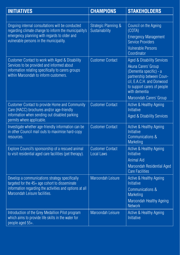| <b>INITIATIVES</b>                                                                                                                                                                                   | <b>CHAMPIONS</b>                             | <b>STAKEHOLDERS</b>                                                                                                                                                                                               |
|------------------------------------------------------------------------------------------------------------------------------------------------------------------------------------------------------|----------------------------------------------|-------------------------------------------------------------------------------------------------------------------------------------------------------------------------------------------------------------------|
|                                                                                                                                                                                                      |                                              |                                                                                                                                                                                                                   |
| Ongoing internal consultations will be conducted<br>regarding climate change to inform the municipality's<br>emergency planning with regards to older and<br>vulnerable persons in the municipality. | Strategic Planning &<br>Sustainability       | Council on the Ageing<br>(COTA)<br><b>Emergency Management</b><br><b>Service Providers</b><br><b>Vulnerable Persons</b><br>Coordinator                                                                            |
| Customer Contact to work with Aged & Disability<br>Services to be provided and informed about<br>information relating specifically to carers groups<br>within Maroondah to inform customers.         | <b>Customer Contact</b>                      | Aged & Disability Services<br>Akuna Carers' Group<br>(Dementia specific) - a<br>partnership between Coun-<br>cil, E.A.C.H. and Donwood<br>to support carers of people<br>with dementia<br>Maroondah Carers' Group |
| <b>Customer Contact to provide Home and Community</b><br>Care (HACC) brochures and/or age-friendly<br>information when sending out disabled parking<br>permits where applicable.                     | <b>Customer Contact</b>                      | Active & Healthy Ageing<br>Initiative<br>Aged & Disability Services                                                                                                                                               |
| Investigate whether age-friendly information can be<br>in other Council mail outs to maximise hard-copy<br>resources.                                                                                | <b>Customer Contact</b>                      | Active & Healthy Ageing<br><b>Initiative</b><br>Communications &<br>Marketing                                                                                                                                     |
| Explore Council's sponsorship of a rescued animal<br>to visit residential aged care facilities (pet therapy).                                                                                        | <b>Customer Contact</b><br><b>Local Laws</b> | Active & Healthy Ageing<br>Initiative<br><b>Animal Aid</b><br>Maroondah Residential Aged<br><b>Care Facilities</b>                                                                                                |
| Develop a communications strategy specifically<br>targeted for the 45+ age cohort to disseminate<br>information regarding the activities and options at all<br>Maroondah Leisure facilities.         | Maroondah Leisure                            | Active & Healthy Ageing<br>Initiative<br>Communications &<br>Marketing<br>Maroondah Healthy Ageing<br><b>Network</b>                                                                                              |
| Introduction of the Grey Medallion Pilot program<br>which aims to provide life skills in the water for<br>people aged 55+.                                                                           | <b>Maroondah Leisure</b>                     | Active & Healthy Ageing<br>Initiative                                                                                                                                                                             |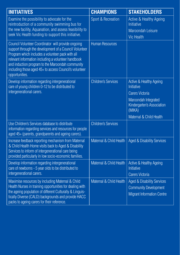| <b>INITIATIVES</b>                                                                                                                                                                                                                                                                                                                                      | <b>CHAMPIONS</b>           | <b>STAKEHOLDERS</b>                                                                             |
|---------------------------------------------------------------------------------------------------------------------------------------------------------------------------------------------------------------------------------------------------------------------------------------------------------------------------------------------------------|----------------------------|-------------------------------------------------------------------------------------------------|
| Examine the possibility to advocate for the<br>reintroduction of a community swimming bus for<br>the new facility, Aquanation, and assess feasibility to<br>seek Vic Health funding to support this initiative.                                                                                                                                         | Sport & Recreation         | <b>Active &amp; Healthy Ageing</b><br>Initiative<br>Maroondah Leisure<br><b>Vic Health</b>      |
| Council Volunteer Coordinator will provide ongoing<br>support through the development of a Council Volunteer<br>Program which includes a volunteer pack with all<br>relevant information including a volunteer handbook<br>and induction program to the Maroondah community<br>including those aged 45+ to access Council's volunteer<br>opportunities. | <b>Human Resources</b>     |                                                                                                 |
| Develop information regarding intergenerational<br>care of young children 0-12 to be distributed to<br>intergenerational carers.                                                                                                                                                                                                                        | <b>Children's Services</b> | <b>Active &amp; Healthy Ageing</b><br><b>Initiative</b><br><b>Carers Victoria</b>               |
|                                                                                                                                                                                                                                                                                                                                                         |                            | Maroondah Integrated<br>Kindergarten's Association<br>(MIKA)                                    |
|                                                                                                                                                                                                                                                                                                                                                         |                            | Maternal & Child Health                                                                         |
| Use Children's Services database to distribute<br>information regarding services and resources for people<br>aged 45+ (parents, grandparents and ageing carers).                                                                                                                                                                                        | <b>Children's Services</b> |                                                                                                 |
| Increase feedback reporting mechanism from Maternal<br>& Child Health Home visits back to Aged & Disability<br>Services to inform of intergenerational care being<br>provided particularly in low socio-economic families.                                                                                                                              | Maternal & Child Health    | <b>Aged &amp; Disability Services</b>                                                           |
| Develop information regarding intergenerational<br>care of newborns - 5 year olds to be distributed to<br>intergenerational carers.                                                                                                                                                                                                                     | Maternal & Child Health    | Active & Healthy Ageing<br><b>Initiative</b><br><b>Carers Victoria</b>                          |
| Maximise resources by including Maternal & Child<br>Health Nurses in training opportunities for dealing with<br>the ageing population of different Culturally & Linguis-<br>tically Diverse (CALD) backgrounds and provide HACC<br>packs to ageing carers for their reference.                                                                          | Maternal & Child Health    | Aged & Disability Services<br><b>Community Development</b><br><b>Migrant Information Centre</b> |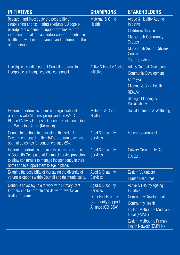| <b>INITIATIVES</b>                                                                                                                                                                                                                                                                  | <b>CHAMPIONS</b>                                                                                             | <b>STAKEHOLDERS</b>                                                                                                                                                                                          |
|-------------------------------------------------------------------------------------------------------------------------------------------------------------------------------------------------------------------------------------------------------------------------------------|--------------------------------------------------------------------------------------------------------------|--------------------------------------------------------------------------------------------------------------------------------------------------------------------------------------------------------------|
| Research and investigate the possibility of<br>establishing and facilitating a voluntary Adopt-a-<br>Grandparent scheme to support families with no<br>intergenerational contact and/or support to enhance<br>health and wellbeing of parents and children and the<br>older person. | Maternal & Child<br><b>Health</b>                                                                            | Active & Healthy Ageing<br><b>Initiative</b><br><b>Children's Services</b><br><b>Maroondah Community</b><br>Groups<br><b>Maroondah Senior Citizens</b><br><b>Centres</b><br><b>Youth Services</b>            |
| Investigate extending current Council programs to<br>incorporate an intergenerational component.                                                                                                                                                                                    | Active & Healthy Ageing<br><b>Initiative</b>                                                                 | Arts & Cultural Development<br><b>Community Development</b><br>Karralyka<br>Maternal & Child Health<br><b>REALM</b><br><b>Strategic Planning &amp;</b><br>Sustainability                                     |
| Explore opportunities to create intergenerational<br>programs with Mothers' groups and the HACC<br>Planned Activity Groups at Council's Social Inclusion<br>and Wellbeing Centre (Kerrabee).                                                                                        | Maternal & Child<br><b>Health</b>                                                                            | Social Inclusion & Wellbeing                                                                                                                                                                                 |
| Council to continue to advocate to the Federal<br>Government regarding the HACC program to achieve<br>optimal outcomes for consumers aged 65+.                                                                                                                                      | Aged & Disability<br><b>Services</b>                                                                         | <b>Federal Government</b>                                                                                                                                                                                    |
| Explore opportunities to maximise current resources<br>of Council's Occupational Therapist service provision<br>to allow consumers to manage independently in their<br>home and to support them to age in place.                                                                    | Aged & Disability<br><b>Services</b>                                                                         | <b>Calvary Community Care</b><br>E.A.C.H.                                                                                                                                                                    |
| Examine the possibility of increasing the diversity of<br>volunteer options within Council and the municipality.                                                                                                                                                                    | Aged & Disability<br><b>Services</b>                                                                         | <b>Eastern Volunteers</b><br><b>Human Resources</b>                                                                                                                                                          |
| Continue advocacy role to work with Primary Care<br>Partnerships to promote and deliver preventative<br>health programs.                                                                                                                                                            | Aged & Disability<br><b>Services</b><br>Outer East Health &<br><b>Community Support</b><br>Alliance (OEHCSA) | Active & Healthy Ageing<br><b>Initiative</b><br><b>Community Development</b><br><b>Community Health</b><br>Eastern Melbourne Medicare<br>Local (EMML)<br>Eastern Melbourne Primary<br>Health Network (EMPHN) |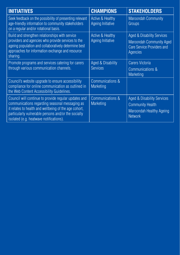| <b>INITIATIVES</b>                                                                                                                                                                                                                                                | <b>CHAMPIONS</b>                                        | <b>STAKEHOLDERS</b>                                                                                                   |
|-------------------------------------------------------------------------------------------------------------------------------------------------------------------------------------------------------------------------------------------------------------------|---------------------------------------------------------|-----------------------------------------------------------------------------------------------------------------------|
| Seek feedback on the possibility of presenting relevant<br>age-friendly information to community stakeholders<br>on a regular and/or rotational basis.                                                                                                            | <b>Active &amp; Healthy</b><br><b>Ageing Initiative</b> | <b>Maroondah Community</b><br>Groups                                                                                  |
| Build and strengthen relationships with service<br>providers and agencies who provide services to the<br>ageing population and collaboratively determine best<br>approaches for information exchange and resource<br>sharing.                                     | Active & Healthy<br>Ageing Initiative                   | Aged & Disability Services<br><b>Maroondah Community Aged</b><br><b>Care Service Providers and</b><br><b>Agencies</b> |
| Promote programs and services catering for carers<br>through various communication channels.                                                                                                                                                                      | Aged & Disability<br><b>Services</b>                    | <b>Carers Victoria</b><br>Communications &<br><b>Marketing</b>                                                        |
| Council's website upgrade to ensure accessibility<br>compliance for online communication as outlined in<br>the Web Content Accessibility Guidelines.                                                                                                              | Communications &<br><b>Marketing</b>                    |                                                                                                                       |
| Council will continue to provide regular updates and<br>communications regarding seasonal messaging as<br>it relates to health and wellbeing of the age cohort,<br>particularly vulnerable persons and/or the socially<br>isolated (e.g. heatwave notifications). | Communications &<br><b>Marketing</b>                    | Aged & Disability Services<br><b>Community Health</b><br>Maroondah Healthy Ageing<br><b>Network</b>                   |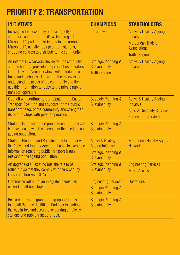### **PRIORITY 2: TRANSPORTATION**

| <b>INITIATIVES</b>                                                                                                                                                                                                                                                                                                                                       | <b>CHAMPIONS</b>                                                                                             | <b>STAKEHOLDERS</b>                                                                                                                       |
|----------------------------------------------------------------------------------------------------------------------------------------------------------------------------------------------------------------------------------------------------------------------------------------------------------------------------------------------------------|--------------------------------------------------------------------------------------------------------------|-------------------------------------------------------------------------------------------------------------------------------------------|
| Investigate the possibility of creating a flyer<br>and information on Council's website regarding<br>Maroondah's parking restrictions in and around<br>Maroondah's activity hubs (e.g. train stations,<br>shopping centres) to distribute to the community.                                                                                              | <b>Local Laws</b>                                                                                            | <b>Active &amp; Healthy Ageing</b><br><b>Initiative</b><br><b>Maroondah Traders'</b><br><b>Associations</b><br><b>Traffic Engineering</b> |
| An internal Bus Network Review will be conducted<br>and the findings presented to private bus operators<br>(Trans Dev and Ventura) which will include buses,<br>trains and telebuses. The aim of the review is to first<br>understand the needs of the community and then<br>use this information to lobby to the private public<br>transport operators. | <b>Strategic Planning &amp;</b><br>Sustainability<br><b>Traffic Engineering</b>                              | <b>Active &amp; Healthy Ageing</b><br><b>Initiative</b>                                                                                   |
| Council will continue to participate in the Eastern<br>Transport Coalition and advocate for the public<br>transport needs of the community and strengthen<br>its relationships with private operators.                                                                                                                                                   | <b>Strategic Planning &amp;</b><br>Sustainability                                                            | <b>Active &amp; Healthy Ageing</b><br><b>Initiative</b><br><b>Aged &amp; Disability Services</b><br><b>Engineering Services</b>           |
| Strategic land use around public transport hubs will<br>be investigated which will consider the needs of an<br>ageing population.                                                                                                                                                                                                                        | <b>Strategic Planning &amp;</b><br>Sustainability                                                            |                                                                                                                                           |
| Strategic Planning and Sustainability to partner with<br>the Active and Healthy Ageing Initiative to exchange<br>information regarding public transport issues<br>relevant to the ageing population.                                                                                                                                                     | <b>Active &amp; Healthy</b><br><b>Ageing Initiative</b><br><b>Strategic Planning &amp;</b><br>Sustainability | <b>Maroondah Healthy Ageing</b><br><b>Network</b>                                                                                         |
| An upgrade of all existing bus shelters to be<br>rolled out so that they comply with the Disability<br>Discrimination Act (DDA).                                                                                                                                                                                                                         | <b>Strategic Planning &amp;</b><br>Sustainability                                                            | <b>Engineering Services</b><br><b>Metro Access</b>                                                                                        |
| Commence roll out of an integrated pedestrian<br>network to all bus stops.                                                                                                                                                                                                                                                                               | <b>Engineering Services</b><br><b>Strategic Planning &amp;</b><br>Sustainability                             | <b>Operations</b>                                                                                                                         |
| Research possible grant funding opportunities<br>to install Parkiteer facilities. Parkiteer is leading<br>the way in free and secure bike parking at railway<br>stations and public transport hubs.                                                                                                                                                      | <b>Strategic Planning &amp;</b><br>Sustainability                                                            |                                                                                                                                           |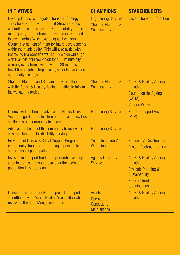| <b>INITIATIVES</b>                                                                                                                                                                                                                                                                                                                                                                                                                                                                                                                                                                                                                    | <b>CHAMPIONS</b>                                                                 | <b>STAKEHOLDERS</b>                                                                                                                                      |
|---------------------------------------------------------------------------------------------------------------------------------------------------------------------------------------------------------------------------------------------------------------------------------------------------------------------------------------------------------------------------------------------------------------------------------------------------------------------------------------------------------------------------------------------------------------------------------------------------------------------------------------|----------------------------------------------------------------------------------|----------------------------------------------------------------------------------------------------------------------------------------------------------|
| Develop Council's Integrated Transport Strategy.<br>This strategy along with Council Structure Plans<br>will outline better accessibility and mobility for the<br>municipality. This information will enable Council<br>to seek funding (when available) as it will show<br>Council's statement of intent for future developments<br>within the municipality. This will also assist with<br>improving Maroondah's walkability which will align<br>with Plan Melbourne's vision for a 20 minute city<br>whereby every home will be within 20 minutes<br>travel time of jobs, shops, cafes, schools, parks and<br>community facilities. | <b>Engineering Services</b><br><b>Strategic Planning &amp;</b><br>Sustainability | <b>Eastern Transport Coalition</b>                                                                                                                       |
| Strategic Planning and Sustainability to collaborate<br>with the Active & Healthy Ageing Initiative to inform<br>the walkability project.                                                                                                                                                                                                                                                                                                                                                                                                                                                                                             | <b>Strategic Planning &amp;</b><br>Sustainability                                | <b>Active &amp; Healthy Ageing</b><br><b>Initiative</b><br>Council on the Ageing<br>(COTA)<br><b>Victoria Walks</b>                                      |
| Council will continue to advocate to Public Transport<br>Victoria regarding the location of nominated new bus<br>shelters as per community feedback.                                                                                                                                                                                                                                                                                                                                                                                                                                                                                  | <b>Engineering Services</b>                                                      | <b>Public Transport Victoria</b><br>(PTV)                                                                                                                |
| Advocate on behalf of the community to review the<br>existing standards for disability parking.                                                                                                                                                                                                                                                                                                                                                                                                                                                                                                                                       | <b>Engineering Services</b>                                                      |                                                                                                                                                          |
| <b>Provision of Council's Social Support Program</b><br>(Community Transport) for frail aged persons to<br>support social participation.                                                                                                                                                                                                                                                                                                                                                                                                                                                                                              | Social Inclusion &<br>Wellbeing                                                  | <b>Business &amp; Development</b><br><b>Eastern Regional Libraries</b>                                                                                   |
| Investigate transport funding opportunities as they<br>arise to address transport issues for the ageing<br>population in Maroondah.                                                                                                                                                                                                                                                                                                                                                                                                                                                                                                   | <b>Aged &amp; Disability</b><br><b>Services</b>                                  | <b>Active &amp; Healthy Ageing</b><br><b>Initiative</b><br><b>Strategic Planning &amp;</b><br>Sustainability<br><b>Relevant funding</b><br>organisations |
| Consider the age-friendly principles of Transportation<br>as outlined by the World Health Organisation when<br>reviewing the Road Management Plan.                                                                                                                                                                                                                                                                                                                                                                                                                                                                                    | <b>Assets</b><br>Operations -<br>Construction<br>Maintenance                     | <b>Active &amp; Healthy Ageing</b><br><b>Initiative</b>                                                                                                  |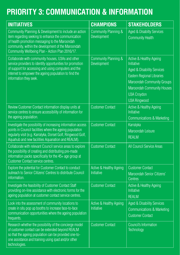# **PRIORITY 3: COMMUNICATION & INFORMATION**

| <b>INITIATIVES</b>                                                                                                                                                                                                                                                      | <b>CHAMPIONS</b>                             | <b>STAKEHOLDERS</b>                                                                                                                                                                                                                 |
|-------------------------------------------------------------------------------------------------------------------------------------------------------------------------------------------------------------------------------------------------------------------------|----------------------------------------------|-------------------------------------------------------------------------------------------------------------------------------------------------------------------------------------------------------------------------------------|
| Community Planning & Development to include an action<br>item regarding seeking to enhance the communication<br>of health promotion messaging to the Maroondah<br>community, within the development of the Maroondah<br>Community Wellbeing Plan - Action Plan 2016/17. | Community Planning &<br>Development          | <b>Aged &amp; Disabilty Services</b><br><b>Community Health</b>                                                                                                                                                                     |
| Collaborate with community houses, U3As and other<br>service providers to identify opportunities for promotion<br>of support for accessing and using computers and the<br>internet to empower the ageing population to find the<br>information they seek.               | Community Planning &<br>Development          | Active & Healthy Ageing<br>Initiative<br><b>Aged &amp; Disability Services</b><br><b>Eastern Regional Libraries</b><br><b>Maroondah Community Groups</b><br>Maroondah Community Houses<br><b>U3A Croydon</b><br><b>U3A Ringwood</b> |
| Review Customer Contact information display units at<br>service centres to ensure accessibility of information for<br>the ageing population.                                                                                                                            | <b>Customer Contact</b>                      | Active & Healthy Ageing<br>Initiative<br>Communications & Marketing                                                                                                                                                                 |
| Investigate the possibility of increasing information access<br>points in Council facilities where the ageing population<br>regularly visit (e.g. Karralyka, Dorset Golf, Ringwood Golf,<br>Aquahub and new facilities Aquanation and REALM).                           | <b>Customer Contact</b>                      | Karralyka<br>Maroondah Leisure<br><b>REALM</b>                                                                                                                                                                                      |
| Collaborate with relevant Council service areas to explore<br>the possibility of creating and distributing pre-made<br>information packs specifically for the 45+ age group at<br><b>Customer Contact service centres.</b>                                              | <b>Customer Contact</b>                      | All Council Service Areas                                                                                                                                                                                                           |
| Explore the potential for Customer Contact to conduct<br>outreach to Senior Citizens' Centres to distribute Council<br>information.                                                                                                                                     | Active & Healthy Ageing<br><b>Initiative</b> | <b>Customer Contact</b><br>Maroondah Senior Citizens'<br><b>Centres</b>                                                                                                                                                             |
| Investigate the feasibility of Customer Contact Staff<br>providing on-line assistance with electronic forms for the<br>ageing population at customer contact service centres.                                                                                           | <b>Customer Contact</b>                      | Active & Healthy Ageing<br>Initiative<br><b>REALM</b>                                                                                                                                                                               |
| Look into the assessment of community locations to<br>create in situ pop up booths to increase face-to-face<br>communication opportunities where the ageing population<br>frequents.                                                                                    | Active & Healthy Ageing<br>Initiative        | <b>Aged &amp; Disability Services</b><br><b>Communications &amp; Marketing</b><br><b>Customer Contact</b>                                                                                                                           |
| Research whether the possibility of the concierge model<br>of customer contact can be extended beyond REALM<br>so that the ageing population can be provided one-to-<br>one assistance and training using ipad and/or other<br>technologies.                            | <b>Customer Contact</b>                      | <b>Council's Information</b><br>Technology                                                                                                                                                                                          |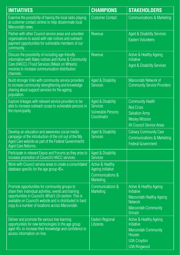| <b>INITIATIVES</b>                                                                                                                                                                                                                                                               | <b>CHAMPIONS</b>                                                                         | <b>STAKEHOLDERS</b>                                                                                                                                 |
|----------------------------------------------------------------------------------------------------------------------------------------------------------------------------------------------------------------------------------------------------------------------------------|------------------------------------------------------------------------------------------|-----------------------------------------------------------------------------------------------------------------------------------------------------|
| Examine the possibility of having the local radio playing<br>at customer contact centres to help disseminate local<br>Maroondah news.                                                                                                                                            | <b>Customer Contact</b>                                                                  | <b>Communications &amp; Marketing</b>                                                                                                               |
| Partner with other Council service areas and volunteer<br>organisations to assist with rate notices and outreach<br>payment opportunities for vulnerable members of our<br>community.                                                                                            | Revenue                                                                                  | <b>Aged &amp; Disability Services</b><br><b>Eastern Volunteers</b>                                                                                  |
| Discuss the possibility of including age-friendly<br>information with Rates notices and Home & Community<br>Care (HACC) / Food Services (Meals on Wheels)<br>invoices to increase communication distribution<br>channels.                                                        | Revenue                                                                                  | Active & Healthy Ageing<br>Initiative<br><b>Aged &amp; Disability Services</b>                                                                      |
| Build stronger links with community service providers<br>to increase community strengthening and knowledge<br>sharing about support services for the ageing<br>population.                                                                                                       | Aged & Disability<br><b>Services</b>                                                     | Maroondah Network of<br><b>Community Service Providers</b>                                                                                          |
| Explore linkages with relevant service providers to be<br>able to increase outreach scope to vulnerable persons in<br>the municipality.                                                                                                                                          | Aged & Disability<br>Services<br><b>Vulnerable Persons</b><br>Coordinator                | <b>Community Health</b><br><b>Red Cross</b><br><b>Salvation Army</b><br><b>Wesley Mission</b><br><b>All Council Service Areas</b>                   |
| Develop an education and awareness social media<br>campaign of the introduction of the roll out of the My<br>Aged Care website as part of the Federal Government's<br>Aged Care Reforms.                                                                                         | Aged & Disability<br>Services                                                            | <b>Calvary Community Care</b><br>Communications & Marketing<br><b>Federal Government</b>                                                            |
| Participate in relevant Expos and Forums as they arise to<br>increase promotion of Council's HACC services.                                                                                                                                                                      | Aged & Disability<br><b>Services</b>                                                     |                                                                                                                                                     |
| Work with Council service areas to create a consolidated<br>database specific for the age group 45+.                                                                                                                                                                             | <b>Active &amp; Healthy</b><br><b>Ageing Initiative</b><br>Communications &<br>Marketing |                                                                                                                                                     |
| Promote opportunities for community groups to<br>share their individual activities, events and training<br>opportunities in Council's What's On section. This is<br>available on Council's website and is distributed in hard<br>copy to a number of locations across Maroondah. | Communications &<br><b>Marketing</b>                                                     | Active & Healthy Ageing<br>Initiative<br>Maroondah Healthy Ageing<br><b>Network</b><br><b>Maroondah Community</b><br><b>Groups</b>                  |
| Deliver and promote the various free learning<br>opportunities for new technologies to the age group<br>aged 45+ to increase their knowledge and confidence to<br>access information on-line.                                                                                    | Eastern Regional<br><b>Libraries</b>                                                     | <b>Active &amp; Healthy Ageing</b><br><b>Initiative</b><br><b>Maroondah Community</b><br><b>Houses</b><br><b>U3A Croydon</b><br><b>U3A Ringwood</b> |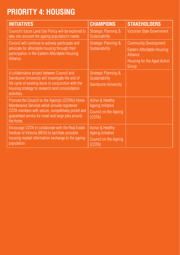#### **PRIORITY 4: HOUSING**

| <b>INITIATIVES</b>                                                                                                                                                                                                          | <b>CHAMPIONS</b>                                                                    | <b>STAKEHOLDERS</b>                                                                                            |
|-----------------------------------------------------------------------------------------------------------------------------------------------------------------------------------------------------------------------------|-------------------------------------------------------------------------------------|----------------------------------------------------------------------------------------------------------------|
| Council's future Land Use Policy will be explored to<br>take into account the ageing population's needs.                                                                                                                    | Strategic Planning &<br>Sustainability                                              | Victorian State Government                                                                                     |
| Council will continue to actively participate and<br>advocate for affordable housing through their<br>participation in the Eastern Affordable Housing<br>Alliance.                                                          | <b>Strategic Planning &amp;</b><br>Sustainability                                   | <b>Community Development</b><br>Eastern Affordable Housing<br>Alliance<br>Housing for the Aged Action<br>Group |
| A collaborative project between Council and<br>Swinburne University will investigate the end of<br>life cycle of existing stock in conjunction with the<br>housing strategy to research land consolidation<br>activities.   | Strategic Planning &<br>Sustainability<br><b>Swinburne University</b>               |                                                                                                                |
| Promote the Council on the Ageing's (COTA's) Home<br>Maintenance Services which provide registered<br>COTA members with secure, competitively priced and<br>guaranteed service for small and large jobs around<br>the home. | <b>Active &amp; Healthy</b><br>Ageing Initiative<br>Council on the Ageing<br>(COTA) |                                                                                                                |
| Encourage COTA to collaborate with the Real Estate<br>Institute of Victoria (REIV) to facilitate possible<br>housing market information exchange to the ageing<br>population.                                               | <b>Active &amp; Healthy</b><br>Ageing Initiative<br>Council on the Ageing<br>(COTA) |                                                                                                                |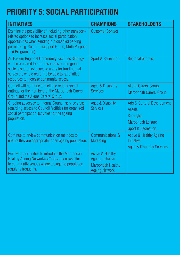# **PRIORITY 5: SOCIAL PARTICIPATION**

| <b>INITIATIVES</b>                                                                                                                                                                                                                                         | <b>CHAMPIONS</b>                                                                                             | <b>STAKEHOLDERS</b>                                                                                  |
|------------------------------------------------------------------------------------------------------------------------------------------------------------------------------------------------------------------------------------------------------------|--------------------------------------------------------------------------------------------------------------|------------------------------------------------------------------------------------------------------|
| Examine the possibility of including other transport-<br>related options to increase social participation<br>opportunities when sending out disabled parking<br>permits (e.g. Seniors Transport Guide, Multi Purpose<br>Taxi Program, etc).                | <b>Customer Contact</b>                                                                                      |                                                                                                      |
| An Eastern Regional Community Facilities Strategy<br>will be prepared to pool resources on a regional<br>scale based on evidence to apply for funding that<br>serves the whole region to be able to rationalise<br>resources to increase community access. | Sport & Recreation                                                                                           | <b>Regional partners</b>                                                                             |
| Council will continue to facilitate regular social<br>outings for the members of the Maroondah Carers'<br>Group and the Akuna Carers' Group.                                                                                                               | <b>Aged &amp; Disability</b><br><b>Services</b>                                                              | Akuna Carers' Group<br>Maroondah Carers' Group                                                       |
| Ongoing advocacy to internal Council service areas<br>regarding access to Council facilities for organised<br>social participation activities for the ageing<br>population.                                                                                | Aged & Disability<br><b>Services</b>                                                                         | Arts & Cultural Development<br>Assets<br>Karralyka<br><b>Maroondah Leisure</b><br>Sport & Recreation |
| Continue to review communication methods to<br>ensure they are appropriate for an ageing population.                                                                                                                                                       | Communications &<br><b>Marketing</b>                                                                         | <b>Active &amp; Healthy Ageing</b><br><b>Initiative</b><br><b>Aged &amp; Disability Services</b>     |
| Review opportunities to introduce the Maroondah<br>Healthy Ageing Network's Chatterbox newsletter<br>to community venues where the ageing population<br>regularly frequents.                                                                               | <b>Active &amp; Healthy</b><br><b>Ageing Initiative</b><br><b>Maroondah Healthy</b><br><b>Ageing Network</b> |                                                                                                      |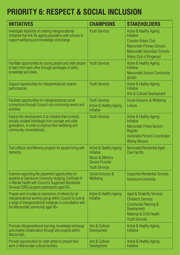### **PRIORITY 6: RESPECT & SOCIAL INCLUSION**

| <b>INITIATIVES</b>                                                                                                                                                                                                        | <b>CHAMPIONS</b>                                                                                                                         | <b>STAKEHOLDERS</b>                                                                                                                                                                    |
|---------------------------------------------------------------------------------------------------------------------------------------------------------------------------------------------------------------------------|------------------------------------------------------------------------------------------------------------------------------------------|----------------------------------------------------------------------------------------------------------------------------------------------------------------------------------------|
| Investigate feasibility of creating intergenerational<br>initiatives that link the ageing population with schools to<br>support wellbeing and knowledge interchange.                                                      | <b>Youth Services</b>                                                                                                                    | Active & Healthy Ageing<br><b>Initiative</b><br><b>Croydon Rotary Club</b><br><b>Maroondah Primary Schools</b><br><b>Maroondah Secondary Schools</b><br><b>Rotary Club of Ringwood</b> |
| Facilitate opportunities for young people and older people<br>to learn from each other through exchanges of skills,<br>knowledge and ideas.                                                                               | <b>Youth Services</b>                                                                                                                    | <b>Active &amp; Healthy Ageing</b><br>Initiative<br><b>Maroondah Seniors Community</b><br>groups                                                                                       |
| Support opportunities for intergenerational creative<br>performances.                                                                                                                                                     | <b>Youth Services</b>                                                                                                                    | Active & Healthy Ageing<br><b>Initiative</b><br>Arts & Cultural Development                                                                                                            |
| Facilitate opportunities for intergenerational social<br>connections through Council-run community events and<br>activities.                                                                                              | <b>Youth Services</b><br><b>Active &amp; Healthy Ageing</b><br><b>Initiative</b>                                                         | Social Inclusion & Wellbeing<br><b>Leisure</b>                                                                                                                                         |
| Explore the development of an initiative that connects<br>socially isolated individuals from younger and older<br>generations, in order to improve their wellbeing and<br>community connectedness.                        | <b>Youth Services</b>                                                                                                                    | <b>Active &amp; Healthy Ageing</b><br><b>Initiative</b><br><b>Maroondah Police Seniors</b><br>Register<br><b>Vulnerable Persons Coordinator</b><br><b>Wesley Mission</b>               |
| Trial a Music and Memory program for people living with<br>dementia.                                                                                                                                                      | <b>Active &amp; Healthy Ageing</b><br><b>Initiative</b><br><b>Music &amp; Memory</b><br><b>Service Provider</b><br><b>Youth Services</b> | Nominated Residential Aged<br><b>Care Facility</b>                                                                                                                                     |
| Examine expanding the placement opportunities for<br>students at Swinburne University studying Certificate IV<br>in Mental Health with Council's Supported Residential<br>Services (SRS) program participants aged 45+.   | Social Inclusion &<br>Wellbeing                                                                                                          | <b>Supported Residential Services</b><br><b>Swinburne University</b>                                                                                                                   |
| Prepare and circulate an expression of interest for an<br>intergenerational working group within Council to look at<br>a range of intergenerational initiatives in consultation with<br>the Maroondah community aged 45+. | <b>Active &amp; Healthy Ageing</b><br><b>Initiative</b>                                                                                  | <b>Aged &amp; Disability Services</b><br><b>Children's Services</b><br>Community Planning &<br>Development<br>Maternal & Child Health<br><b>Youth Services</b>                         |
| Promote intergenerational learning, knowledge exchange<br>and creative collaboration through arts projects within<br>Maroondah.                                                                                           | Arts & Cultural<br>Development                                                                                                           | <b>Active &amp; Healthy Ageing</b><br>Initiative                                                                                                                                       |
| Provide opportunities for older artists to present their<br>work in Maroondah cultural facilities.                                                                                                                        | Arts & Cultural<br>Development                                                                                                           | <b>Active &amp; Healthy Ageing</b><br><b>Initiative</b>                                                                                                                                |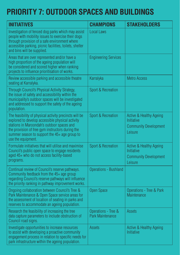# **PRIORITY 7: OUTDOOR SPACES AND BUILDINGS**

| <b>INITIATIVES</b>                                                                                                                                                                                                                                                                    | <b>CHAMPIONS</b>                               | <b>STAKEHOLDERS</b>                                                                         |
|---------------------------------------------------------------------------------------------------------------------------------------------------------------------------------------------------------------------------------------------------------------------------------------|------------------------------------------------|---------------------------------------------------------------------------------------------|
| Investigation of fenced dog parks which may assist<br>people with mobility issues to exercise their dogs<br>through provision of a safe environment where<br>accessible parking, picnic facilities, toilets, shelter<br>and bins will be supplied.                                    | <b>Local Laws</b>                              |                                                                                             |
| Areas that are over represented and/or have a<br>high proportion of the ageing population will<br>be considered and scored higher when ranking<br>projects to influence prioritisation of works.                                                                                      | <b>Engineering Services</b>                    |                                                                                             |
| Review accessible parking and accessible theatre<br>seating at Karralyka.                                                                                                                                                                                                             | Karralyka                                      | <b>Metro Access</b>                                                                         |
| Through Council's Physical Activity Strategy,<br>the issue of safety and accessibility within the<br>municipality's outdoor spaces will be investigated<br>and addressed to support the safety of the ageing<br>population.                                                           | Sport & Recreation                             |                                                                                             |
| The feasibility of physical activity precincts will be<br>explored to develop accessible physical activity<br>stations in Maroondah's outdoor spaces and<br>the provision of free gym instructors during the<br>summer season to support the $45+$ age group to<br>use the equipment. | <b>Sport &amp; Recreation</b>                  | <b>Active &amp; Healthy Ageing</b><br>Initiative<br><b>Community Development</b><br>Leisure |
| Formulate initiatives that will utilise and maximise<br>Council's public open space to engage residents<br>aged 45+ who do not access facility-based<br>programs.                                                                                                                     | Sport & Recreation                             | Active & Healthy Ageing<br>Initiative<br><b>Community Development</b><br>Leisure            |
| Continual review of Council's reserve pathways.<br>Community feedback from the 45+ age group<br>regarding Council's reserve pathways will influence<br>the priority ranking in pathway improvement works.                                                                             | <b>Operations - Bushland</b>                   |                                                                                             |
| Ongoing collaboration between Council's Tree &<br>Park Maintenance & Open Space service areas for<br>the assessment of location of seating in parks and<br>reserves to accommodate an ageing population.                                                                              | <b>Open Space</b>                              | Operations - Tree & Park<br><b>Maintenance</b>                                              |
| Research the feasibility of increasing the tree<br>data capture parameters to include obstruction of<br>Council road signs.                                                                                                                                                           | Operations - Tree &<br><b>Park Maintenance</b> | <b>Assets</b>                                                                               |
| Investigate opportunities to increase resources<br>to assist with developing a proactive community<br>engagement process in relation to specific needs for<br>park infrastructure within the ageing population.                                                                       | <b>Assets</b>                                  | <b>Active &amp; Healthy Ageing</b><br>Initiative                                            |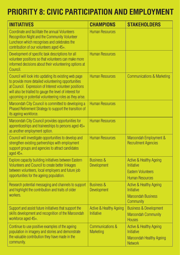# **PRIORITY 8: CIVIC PARTICIPATION AND EMPLOYMENT**

| <b>INITIATIVES</b>                                                                                                                                                                                                                                                                            | <b>CHAMPIONS</b>                                 | <b>STAKEHOLDERS</b>                                                                                            |
|-----------------------------------------------------------------------------------------------------------------------------------------------------------------------------------------------------------------------------------------------------------------------------------------------|--------------------------------------------------|----------------------------------------------------------------------------------------------------------------|
| Coordinate and facilitate the annual Volunteers<br><b>Recognition Night and the Community Volunteer</b><br>Luncheon which recognises and celebrates the<br>contribution of our volunteers aged 45+.                                                                                           | <b>Human Resources</b>                           |                                                                                                                |
| Development of specific task descriptions for all<br>volunteer positions so that volunteers can make more<br>informed decisions about their volunteering options at<br>Council.                                                                                                               | <b>Human Resources</b>                           |                                                                                                                |
| Council will look into updating its existing web page<br>to provide more detailed volunteering opportunities<br>at Council. Expression of Interest volunteer positions<br>will also be trialled to gauge the level of interest for<br>upcoming or potential volunteering roles as they arise. | <b>Human Resources</b>                           | <b>Communications &amp; Marketing</b>                                                                          |
| Maroondah City Council is committed to developing a<br>Phased Retirement Strategy to support the transition of<br>its ageing workforce.                                                                                                                                                       | <b>Human Resources</b>                           |                                                                                                                |
| Maroondah City Council provides opportunities for<br>apprenticeships and traineeships to persons aged 45+<br>as another employment option.                                                                                                                                                    | <b>Human Resources</b>                           |                                                                                                                |
| Council will investigate opportunities to develop and<br>strengthen existing partnerships with employment<br>support groups and agencies to attract candidates<br>aged 45+.                                                                                                                   | <b>Human Resources</b>                           | Maroondah Employment &<br><b>Recruitment Agencies</b>                                                          |
| Explore capacity building initiatives between Eastern<br>Volunteers and Council to create better linkages<br>between volunteers, local employers and future job<br>opportunities for the ageing population.                                                                                   | <b>Business &amp;</b><br>Development             | <b>Active &amp; Healthy Ageing</b><br><b>Initiative</b><br><b>Eastern Volunteers</b><br><b>Human Resources</b> |
| Research potential messaging and channels to support<br>and highlight the contribution and traits of older<br>workers.                                                                                                                                                                        | <b>Business &amp;</b><br>Development             | <b>Active &amp; Healthy Ageing</b><br><b>Initiative</b><br><b>Maroondah Business</b><br>Community              |
| Support and assist future initiatives that support the<br>skills development and recognition of the Maroondah<br>workforce aged 45+.                                                                                                                                                          | <b>Active &amp; Healthy Ageing</b><br>Initiative | <b>Business &amp; Development</b><br><b>Maroondah Community</b><br><b>Houses</b>                               |
| Continue to use positive examples of the ageing<br>population in imagery and stories and demonstrate<br>the valuable contribution they have made in the<br>community.                                                                                                                         | Communications &<br><b>Marketing</b>             | <b>Active &amp; Healthy Ageing</b><br>Initiative<br><b>Maroondah Healthy Ageing</b><br><b>Network</b>          |